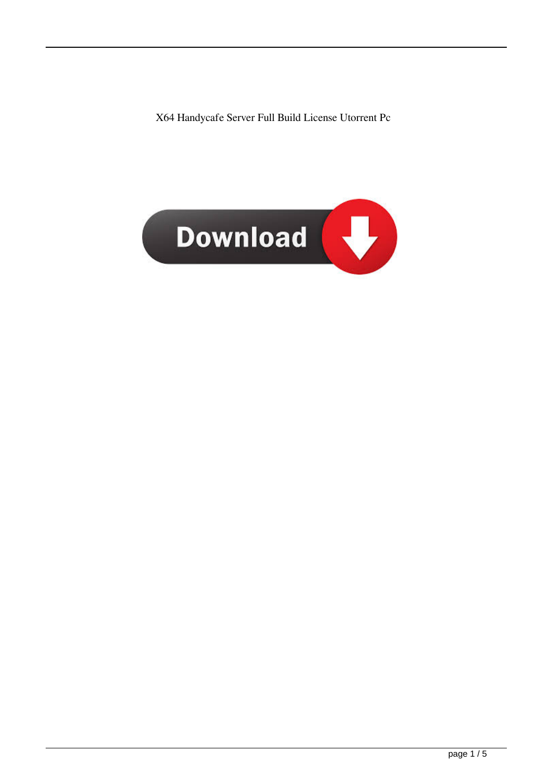X64 Handycafe Server Full Build License Utorrent Pc

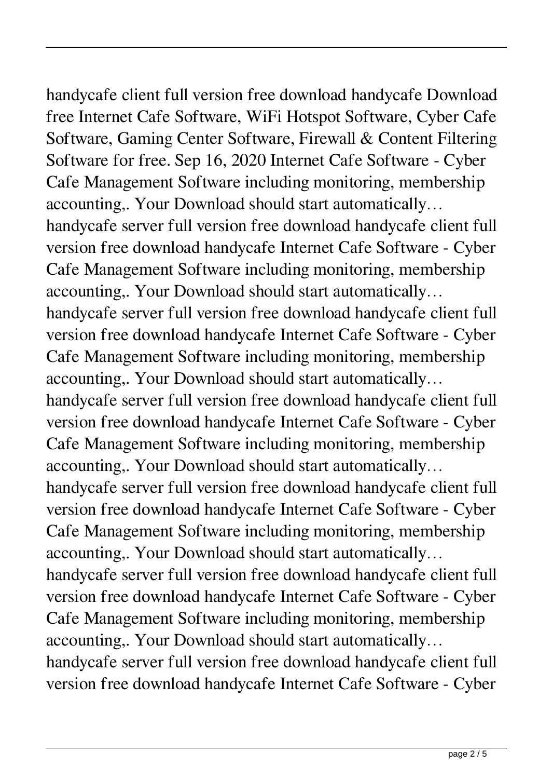handycafe client full version free download handycafe Download free Internet Cafe Software, WiFi Hotspot Software, Cyber Cafe Software, Gaming Center Software, Firewall & Content Filtering Software for free. Sep 16, 2020 Internet Cafe Software - Cyber Cafe Management Software including monitoring, membership accounting,. Your Download should start automatically… handycafe server full version free download handycafe client full version free download handycafe Internet Cafe Software - Cyber Cafe Management Software including monitoring, membership accounting,. Your Download should start automatically… handycafe server full version free download handycafe client full version free download handycafe Internet Cafe Software - Cyber Cafe Management Software including monitoring, membership accounting,. Your Download should start automatically… handycafe server full version free download handycafe client full version free download handycafe Internet Cafe Software - Cyber

Cafe Management Software including monitoring, membership accounting,. Your Download should start automatically…

handycafe server full version free download handycafe client full version free download handycafe Internet Cafe Software - Cyber Cafe Management Software including monitoring, membership accounting,. Your Download should start automatically…

handycafe server full version free download handycafe client full version free download handycafe Internet Cafe Software - Cyber Cafe Management Software including monitoring, membership accounting,. Your Download should start automatically…

handycafe server full version free download handycafe client full version free download handycafe Internet Cafe Software - Cyber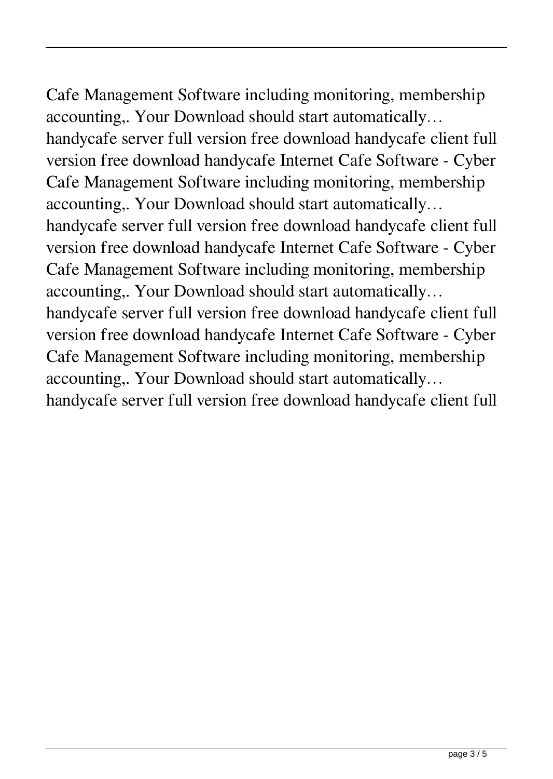Cafe Management Software including monitoring, membership accounting,. Your Download should start automatically… handycafe server full version free download handycafe client full version free download handycafe Internet Cafe Software - Cyber Cafe Management Software including monitoring, membership accounting,. Your Download should start automatically… handycafe server full version free download handycafe client full version free download handycafe Internet Cafe Software - Cyber Cafe Management Software including monitoring, membership accounting,. Your Download should start automatically… handycafe server full version free download handycafe client full version free download handycafe Internet Cafe Software - Cyber Cafe Management Software including monitoring, membership accounting,. Your Download should start automatically…

handycafe server full version free download handycafe client full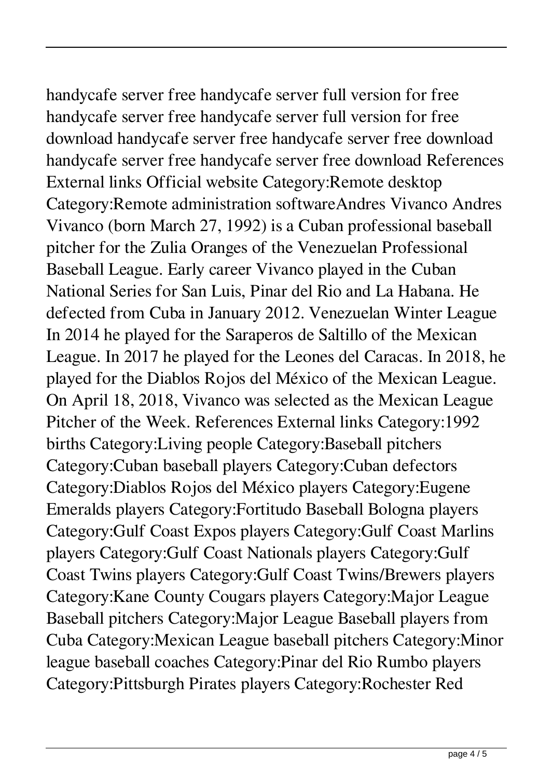handycafe server free handycafe server full version for free handycafe server free handycafe server full version for free download handycafe server free handycafe server free download handycafe server free handycafe server free download References External links Official website Category:Remote desktop Category:Remote administration softwareAndres Vivanco Andres Vivanco (born March 27, 1992) is a Cuban professional baseball pitcher for the Zulia Oranges of the Venezuelan Professional Baseball League. Early career Vivanco played in the Cuban National Series for San Luis, Pinar del Rio and La Habana. He defected from Cuba in January 2012. Venezuelan Winter League In 2014 he played for the Saraperos de Saltillo of the Mexican League. In 2017 he played for the Leones del Caracas. In 2018, he played for the Diablos Rojos del México of the Mexican League. On April 18, 2018, Vivanco was selected as the Mexican League Pitcher of the Week. References External links Category:1992 births Category:Living people Category:Baseball pitchers Category:Cuban baseball players Category:Cuban defectors Category:Diablos Rojos del México players Category:Eugene Emeralds players Category:Fortitudo Baseball Bologna players Category:Gulf Coast Expos players Category:Gulf Coast Marlins players Category:Gulf Coast Nationals players Category:Gulf Coast Twins players Category:Gulf Coast Twins/Brewers players Category:Kane County Cougars players Category:Major League Baseball pitchers Category:Major League Baseball players from Cuba Category:Mexican League baseball pitchers Category:Minor league baseball coaches Category:Pinar del Rio Rumbo players Category:Pittsburgh Pirates players Category:Rochester Red